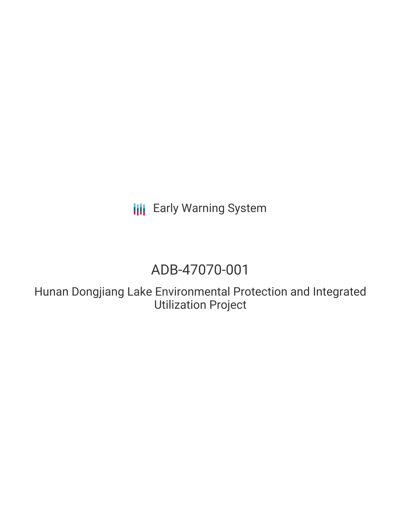**III** Early Warning System

# ADB-47070-001

Hunan Dongjiang Lake Environmental Protection and Integrated Utilization Project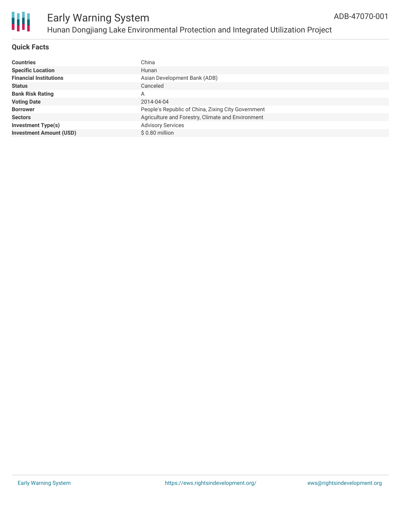

#### **Quick Facts**

| <b>Countries</b>               | China                                              |
|--------------------------------|----------------------------------------------------|
| <b>Specific Location</b>       | Hunan                                              |
| <b>Financial Institutions</b>  | Asian Development Bank (ADB)                       |
| <b>Status</b>                  | Canceled                                           |
| <b>Bank Risk Rating</b>        | А                                                  |
| <b>Voting Date</b>             | 2014-04-04                                         |
| <b>Borrower</b>                | People's Republic of China, Zixing City Government |
| <b>Sectors</b>                 | Agriculture and Forestry, Climate and Environment  |
| <b>Investment Type(s)</b>      | <b>Advisory Services</b>                           |
| <b>Investment Amount (USD)</b> | \$0.80 million                                     |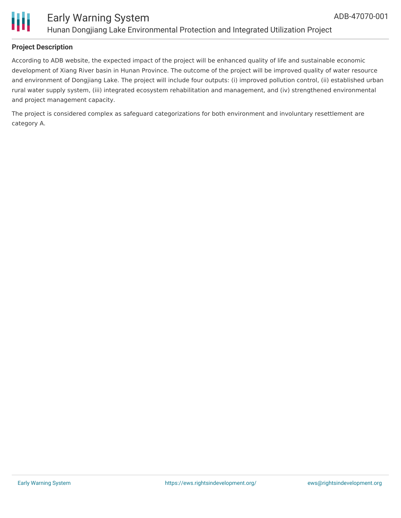

According to ADB website, the expected impact of the project will be enhanced quality of life and sustainable economic development of Xiang River basin in Hunan Province. The outcome of the project will be improved quality of water resource and environment of Dongjiang Lake. The project will include four outputs: (i) improved pollution control, (ii) established urban rural water supply system, (iii) integrated ecosystem rehabilitation and management, and (iv) strengthened environmental and project management capacity.

The project is considered complex as safeguard categorizations for both environment and involuntary resettlement are category A.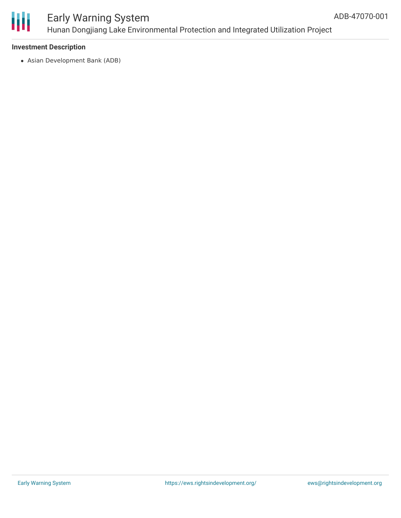

# Early Warning System Hunan Dongjiang Lake Environmental Protection and Integrated Utilization Project

#### **Investment Description**

Asian Development Bank (ADB)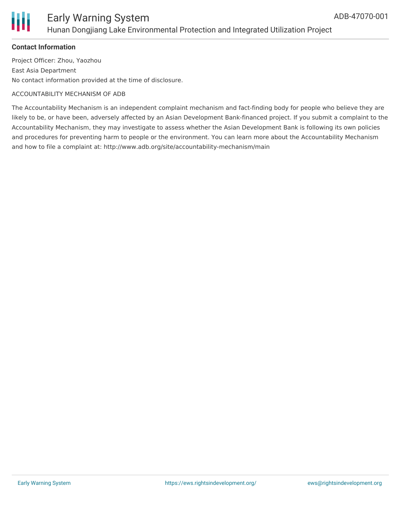

### Early Warning System Hunan Dongjiang Lake Environmental Protection and Integrated Utilization Project

#### **Contact Information**

Project Officer: Zhou, Yaozhou East Asia Department No contact information provided at the time of disclosure.

#### ACCOUNTABILITY MECHANISM OF ADB

The Accountability Mechanism is an independent complaint mechanism and fact-finding body for people who believe they are likely to be, or have been, adversely affected by an Asian Development Bank-financed project. If you submit a complaint to the Accountability Mechanism, they may investigate to assess whether the Asian Development Bank is following its own policies and procedures for preventing harm to people or the environment. You can learn more about the Accountability Mechanism and how to file a complaint at: http://www.adb.org/site/accountability-mechanism/main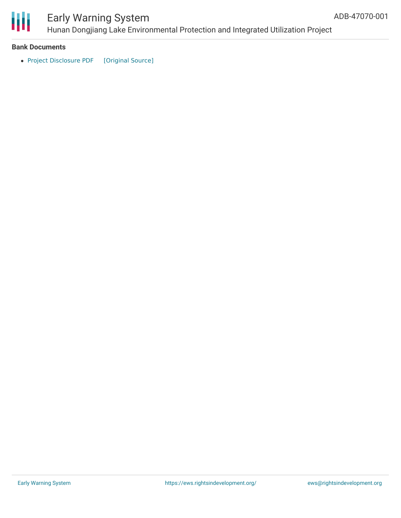

# Early Warning System

Hunan Dongjiang Lake Environmental Protection and Integrated Utilization Project

#### **Bank Documents**

• Project [Disclosure](https://ewsdata.rightsindevelopment.org/files/documents/01/ADB-47070-001.pdf) PDF [\[Original](https://www.adb.org/printpdf/projects/47070-001/main) Source]